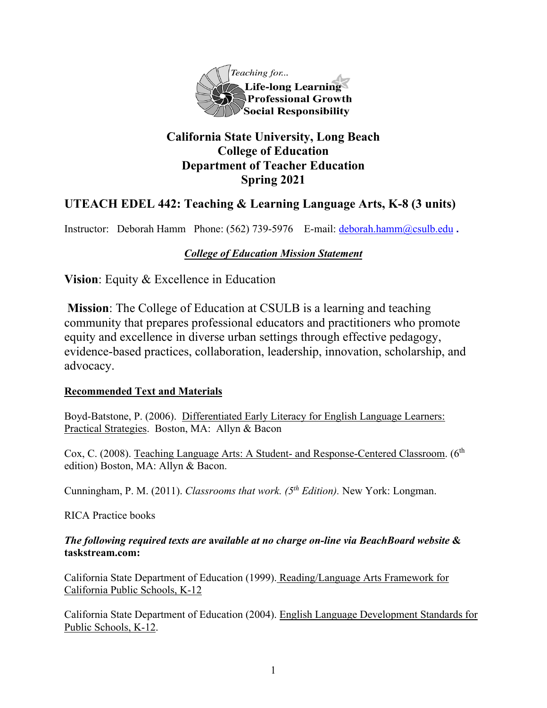

# **California State University, Long Beach College of Education Department of Teacher Education Spring 2021**

# **UTEACH EDEL 442: Teaching & Learning Language Arts, K-8 (3 units)**

Instructor: Deborah Hamm Phone: (562) 739-5976 E-mail: [deborah.hamm@csulb.edu](mailto:deborah.hamm@csulb.edu) **.**

## *College of Education Mission Statement*

**Vision**: Equity & Excellence in Education

**Mission**: The College of Education at CSULB is a learning and teaching community that prepares professional educators and practitioners who promote equity and excellence in diverse urban settings through effective pedagogy, evidence-based practices, collaboration, leadership, innovation, scholarship, and advocacy.

#### **Recommended Text and Materials**

Boyd-Batstone, P. (2006). Differentiated Early Literacy for English Language Learners: Practical Strategies. Boston, MA: Allyn & Bacon

Cox, C. (2008). Teaching Language Arts: A Student- and Response-Centered Classroom. (6<sup>th</sup> edition) Boston, MA: Allyn & Bacon.

Cunningham, P. M. (2011). *Classrooms that work. (5th Edition).* New York: Longman.

RICA Practice books

### *The following required texts are* **a***vailable at no charge on-line via BeachBoard website* **& taskstream.com:**

California State Department of Education (1999). Reading/Language Arts Framework for California Public Schools, K-12

California State Department of Education (2004). English Language Development Standards for Public Schools, K-12.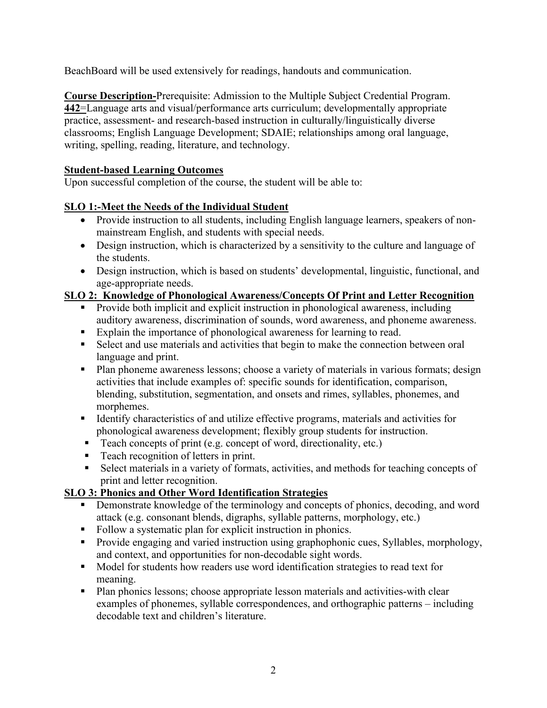BeachBoard will be used extensively for readings, handouts and communication.

**Course Description-**Prerequisite: Admission to the Multiple Subject Credential Program. **442**=Language arts and visual/performance arts curriculum; developmentally appropriate practice, assessment- and research-based instruction in culturally/linguistically diverse classrooms; English Language Development; SDAIE; relationships among oral language, writing, spelling, reading, literature, and technology.

#### **Student-based Learning Outcomes**

Upon successful completion of the course, the student will be able to:

### **SLO 1:-Meet the Needs of the Individual Student**

- Provide instruction to all students, including English language learners, speakers of nonmainstream English, and students with special needs.
- Design instruction, which is characterized by a sensitivity to the culture and language of the students.
- Design instruction, which is based on students' developmental, linguistic, functional, and age-appropriate needs.

## **SLO 2: Knowledge of Phonological Awareness/Concepts Of Print and Letter Recognition**

- Provide both implicit and explicit instruction in phonological awareness, including auditory awareness, discrimination of sounds, word awareness, and phoneme awareness.
- Explain the importance of phonological awareness for learning to read.
- Select and use materials and activities that begin to make the connection between oral language and print.
- **Plan phoneme awareness lessons; choose a variety of materials in various formats; design** activities that include examples of: specific sounds for identification, comparison, blending, substitution, segmentation, and onsets and rimes, syllables, phonemes, and morphemes.
- Identify characteristics of and utilize effective programs, materials and activities for phonological awareness development; flexibly group students for instruction.
- Teach concepts of print (e.g. concept of word, directionality, etc.)
- Teach recognition of letters in print.
- Select materials in a variety of formats, activities, and methods for teaching concepts of print and letter recognition.

## **SLO 3: Phonics and Other Word Identification Strategies**

- Demonstrate knowledge of the terminology and concepts of phonics, decoding, and word attack (e.g. consonant blends, digraphs, syllable patterns, morphology, etc.)
- Follow a systematic plan for explicit instruction in phonics.
- **Provide engaging and varied instruction using graphophonic cues, Syllables, morphology,** and context, and opportunities for non-decodable sight words.
- $\blacksquare$  Model for students how readers use word identification strategies to read text for meaning.
- Plan phonics lessons; choose appropriate lesson materials and activities-with clear examples of phonemes, syllable correspondences, and orthographic patterns – including decodable text and children's literature.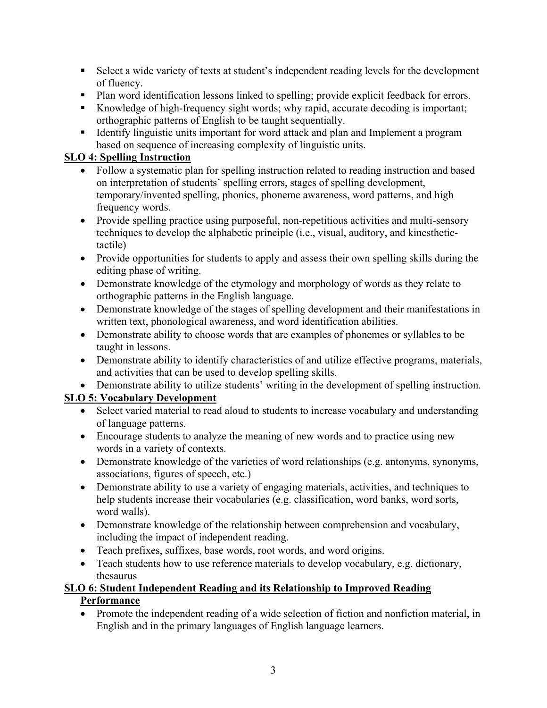- Select a wide variety of texts at student's independent reading levels for the development of fluency.
- Plan word identification lessons linked to spelling; provide explicit feedback for errors.
- Knowledge of high-frequency sight words; why rapid, accurate decoding is important; orthographic patterns of English to be taught sequentially.
- **IDENTIFY** Integristic units important for word attack and plan and Implement a program based on sequence of increasing complexity of linguistic units.

## **SLO 4: Spelling Instruction**

- Follow a systematic plan for spelling instruction related to reading instruction and based on interpretation of students' spelling errors, stages of spelling development, temporary/invented spelling, phonics, phoneme awareness, word patterns, and high frequency words.
- Provide spelling practice using purposeful, non-repetitious activities and multi-sensory techniques to develop the alphabetic principle (i.e., visual, auditory, and kinesthetictactile)
- Provide opportunities for students to apply and assess their own spelling skills during the editing phase of writing.
- Demonstrate knowledge of the etymology and morphology of words as they relate to orthographic patterns in the English language.
- Demonstrate knowledge of the stages of spelling development and their manifestations in written text, phonological awareness, and word identification abilities.
- Demonstrate ability to choose words that are examples of phonemes or syllables to be taught in lessons.
- Demonstrate ability to identify characteristics of and utilize effective programs, materials, and activities that can be used to develop spelling skills.
- Demonstrate ability to utilize students' writing in the development of spelling instruction.

## **SLO 5: Vocabulary Development**

- Select varied material to read aloud to students to increase vocabulary and understanding of language patterns.
- Encourage students to analyze the meaning of new words and to practice using new words in a variety of contexts.
- Demonstrate knowledge of the varieties of word relationships (e.g. antonyms, synonyms, associations, figures of speech, etc.)
- Demonstrate ability to use a variety of engaging materials, activities, and techniques to help students increase their vocabularies (e.g. classification, word banks, word sorts, word walls).
- Demonstrate knowledge of the relationship between comprehension and vocabulary, including the impact of independent reading.
- Teach prefixes, suffixes, base words, root words, and word origins.
- Teach students how to use reference materials to develop vocabulary, e.g. dictionary, thesaurus

# **SLO 6: Student Independent Reading and its Relationship to Improved Reading**

## **Performance**

• Promote the independent reading of a wide selection of fiction and nonfiction material, in English and in the primary languages of English language learners.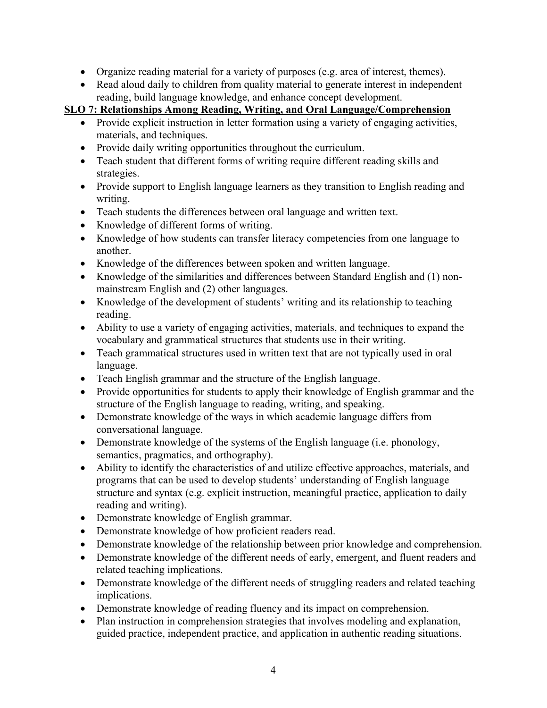- Organize reading material for a variety of purposes (e.g. area of interest, themes).
- Read aloud daily to children from quality material to generate interest in independent reading, build language knowledge, and enhance concept development.

**SLO 7: Relationships Among Reading, Writing, and Oral Language/Comprehension**

- Provide explicit instruction in letter formation using a variety of engaging activities, materials, and techniques.
- Provide daily writing opportunities throughout the curriculum.
- Teach student that different forms of writing require different reading skills and strategies.
- Provide support to English language learners as they transition to English reading and writing.
- Teach students the differences between oral language and written text.
- Knowledge of different forms of writing.
- Knowledge of how students can transfer literacy competencies from one language to another.
- Knowledge of the differences between spoken and written language.
- Knowledge of the similarities and differences between Standard English and (1) nonmainstream English and (2) other languages.
- Knowledge of the development of students' writing and its relationship to teaching reading.
- Ability to use a variety of engaging activities, materials, and techniques to expand the vocabulary and grammatical structures that students use in their writing.
- Teach grammatical structures used in written text that are not typically used in oral language.
- Teach English grammar and the structure of the English language.
- Provide opportunities for students to apply their knowledge of English grammar and the structure of the English language to reading, writing, and speaking.
- Demonstrate knowledge of the ways in which academic language differs from conversational language.
- Demonstrate knowledge of the systems of the English language (i.e. phonology, semantics, pragmatics, and orthography).
- Ability to identify the characteristics of and utilize effective approaches, materials, and programs that can be used to develop students' understanding of English language structure and syntax (e.g. explicit instruction, meaningful practice, application to daily reading and writing).
- Demonstrate knowledge of English grammar.
- Demonstrate knowledge of how proficient readers read.
- Demonstrate knowledge of the relationship between prior knowledge and comprehension.
- Demonstrate knowledge of the different needs of early, emergent, and fluent readers and related teaching implications.
- Demonstrate knowledge of the different needs of struggling readers and related teaching implications.
- Demonstrate knowledge of reading fluency and its impact on comprehension.
- Plan instruction in comprehension strategies that involves modeling and explanation, guided practice, independent practice, and application in authentic reading situations.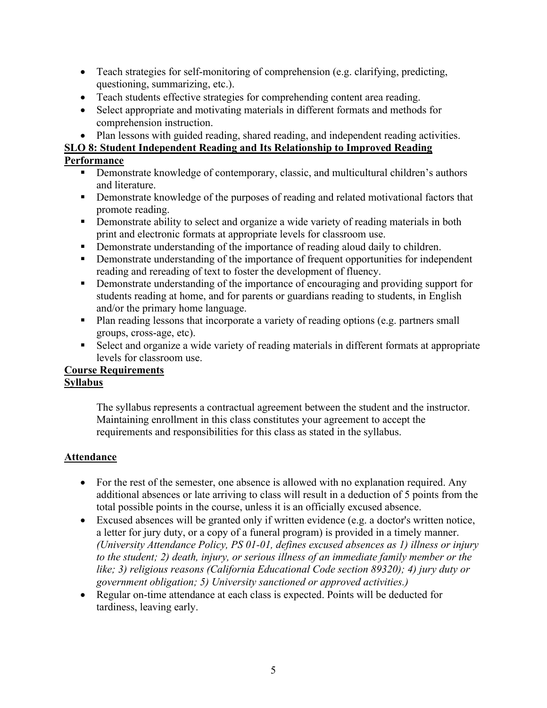- Teach strategies for self-monitoring of comprehension (e.g. clarifying, predicting, questioning, summarizing, etc.).
- Teach students effective strategies for comprehending content area reading.
- Select appropriate and motivating materials in different formats and methods for comprehension instruction.
- Plan lessons with guided reading, shared reading, and independent reading activities.

#### **SLO 8: Student Independent Reading and Its Relationship to Improved Reading**

#### **Performance**

- **Demonstrate knowledge of contemporary, classic, and multicultural children's authors** and literature.
- **•** Demonstrate knowledge of the purposes of reading and related motivational factors that promote reading.
- **•** Demonstrate ability to select and organize a wide variety of reading materials in both print and electronic formats at appropriate levels for classroom use.
- Demonstrate understanding of the importance of reading aloud daily to children.
- Demonstrate understanding of the importance of frequent opportunities for independent reading and rereading of text to foster the development of fluency.
- Demonstrate understanding of the importance of encouraging and providing support for students reading at home, and for parents or guardians reading to students, in English and/or the primary home language.
- Plan reading lessons that incorporate a variety of reading options (e.g. partners small groups, cross-age, etc).
- Select and organize a wide variety of reading materials in different formats at appropriate levels for classroom use.

#### **Course Requirements Syllabus**

The syllabus represents a contractual agreement between the student and the instructor. Maintaining enrollment in this class constitutes your agreement to accept the requirements and responsibilities for this class as stated in the syllabus.

## **Attendance**

- For the rest of the semester, one absence is allowed with no explanation required. Any additional absences or late arriving to class will result in a deduction of 5 points from the total possible points in the course, unless it is an officially excused absence.
- Excused absences will be granted only if written evidence (e.g. a doctor's written notice, a letter for jury duty, or a copy of a funeral program) is provided in a timely manner. *(University Attendance Policy, PS 01-01, defines excused absences as 1) illness or injury to the student; 2) death, injury, or serious illness of an immediate family member or the like; 3) religious reasons (California Educational Code section 89320); 4) jury duty or government obligation; 5) University sanctioned or approved activities.)*
- Regular on-time attendance at each class is expected. Points will be deducted for tardiness, leaving early.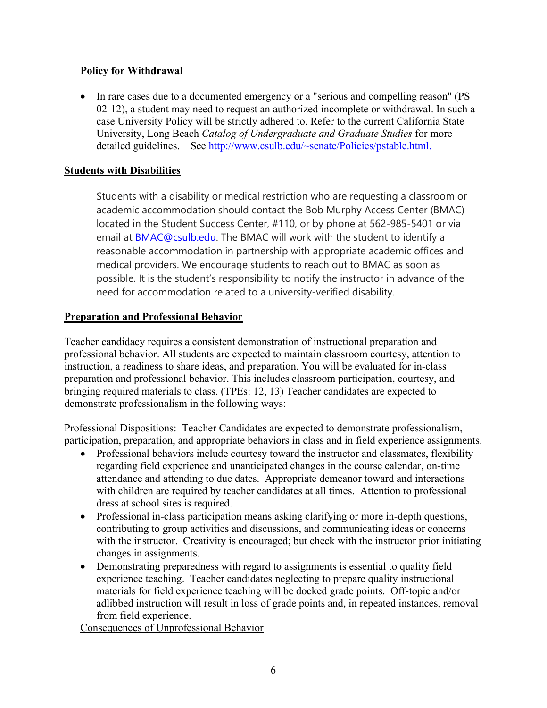#### **Policy for Withdrawal**

• In rare cases due to a documented emergency or a "serious and compelling reason" (PS 02-12), a student may need to request an authorized incomplete or withdrawal. In such a case University Policy will be strictly adhered to. Refer to the current California State University, Long Beach *Catalog of Undergraduate and Graduate Studies* for more detailed guidelines. See [http://www.csulb.edu/~senate/Policies/pstable.html.](http://www.csulb.edu/%7Esenate/Policies/pstable.html.)

#### **Students with Disabilities**

Students with a disability or medical restriction who are requesting a classroom or academic accommodation should contact the Bob Murphy Access Center (BMAC) located in the Student Success Center, #110, or by phone at 562-985-5401 or via email at [BMAC@csulb.edu.](mailto:BMAC@csulb.edu) The BMAC will work with the student to identify a reasonable accommodation in partnership with appropriate academic offices and medical providers. We encourage students to reach out to BMAC as soon as possible. It is the student's responsibility to notify the instructor in advance of the need for accommodation related to a university-verified disability.

#### **Preparation and Professional Behavior**

Teacher candidacy requires a consistent demonstration of instructional preparation and professional behavior. All students are expected to maintain classroom courtesy, attention to instruction, a readiness to share ideas, and preparation. You will be evaluated for in-class preparation and professional behavior. This includes classroom participation, courtesy, and bringing required materials to class. (TPEs: 12, 13) Teacher candidates are expected to demonstrate professionalism in the following ways:

Professional Dispositions: Teacher Candidates are expected to demonstrate professionalism, participation, preparation, and appropriate behaviors in class and in field experience assignments.

- Professional behaviors include courtesy toward the instructor and classmates, flexibility regarding field experience and unanticipated changes in the course calendar, on-time attendance and attending to due dates. Appropriate demeanor toward and interactions with children are required by teacher candidates at all times. Attention to professional dress at school sites is required.
- Professional in-class participation means asking clarifying or more in-depth questions, contributing to group activities and discussions, and communicating ideas or concerns with the instructor. Creativity is encouraged; but check with the instructor prior initiating changes in assignments.
- Demonstrating preparedness with regard to assignments is essential to quality field experience teaching. Teacher candidates neglecting to prepare quality instructional materials for field experience teaching will be docked grade points. Off-topic and/or adlibbed instruction will result in loss of grade points and, in repeated instances, removal from field experience.

Consequences of Unprofessional Behavior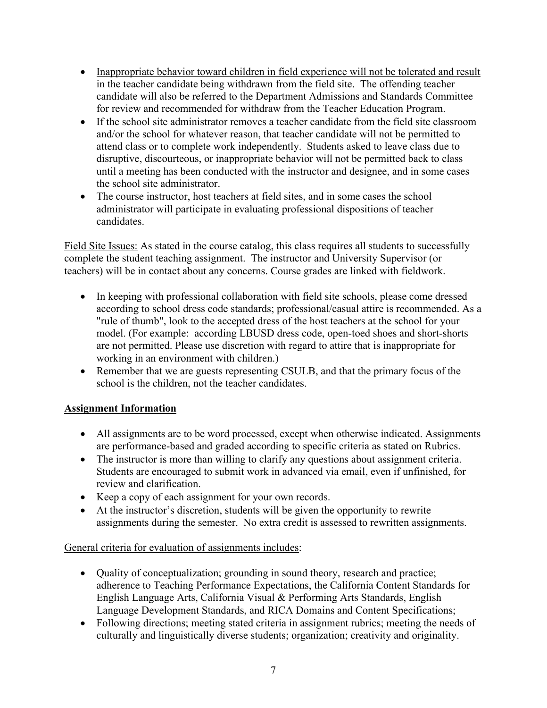- Inappropriate behavior toward children in field experience will not be tolerated and result in the teacher candidate being withdrawn from the field site. The offending teacher candidate will also be referred to the Department Admissions and Standards Committee for review and recommended for withdraw from the Teacher Education Program.
- If the school site administrator removes a teacher candidate from the field site classroom and/or the school for whatever reason, that teacher candidate will not be permitted to attend class or to complete work independently. Students asked to leave class due to disruptive, discourteous, or inappropriate behavior will not be permitted back to class until a meeting has been conducted with the instructor and designee, and in some cases the school site administrator.
- The course instructor, host teachers at field sites, and in some cases the school administrator will participate in evaluating professional dispositions of teacher candidates.

Field Site Issues: As stated in the course catalog, this class requires all students to successfully complete the student teaching assignment. The instructor and University Supervisor (or teachers) will be in contact about any concerns. Course grades are linked with fieldwork.

- In keeping with professional collaboration with field site schools, please come dressed according to school dress code standards; professional/casual attire is recommended. As a "rule of thumb", look to the accepted dress of the host teachers at the school for your model. (For example: according LBUSD dress code, open-toed shoes and short-shorts are not permitted. Please use discretion with regard to attire that is inappropriate for working in an environment with children.)
- Remember that we are guests representing CSULB, and that the primary focus of the school is the children, not the teacher candidates.

## **Assignment Information**

- All assignments are to be word processed, except when otherwise indicated. Assignments are performance-based and graded according to specific criteria as stated on Rubrics.
- The instructor is more than willing to clarify any questions about assignment criteria. Students are encouraged to submit work in advanced via email, even if unfinished, for review and clarification.
- Keep a copy of each assignment for your own records.
- At the instructor's discretion, students will be given the opportunity to rewrite assignments during the semester. No extra credit is assessed to rewritten assignments.

## General criteria for evaluation of assignments includes:

- Quality of conceptualization; grounding in sound theory, research and practice; adherence to Teaching Performance Expectations, the California Content Standards for English Language Arts, California Visual & Performing Arts Standards, English Language Development Standards, and RICA Domains and Content Specifications;
- Following directions; meeting stated criteria in assignment rubrics; meeting the needs of culturally and linguistically diverse students; organization; creativity and originality.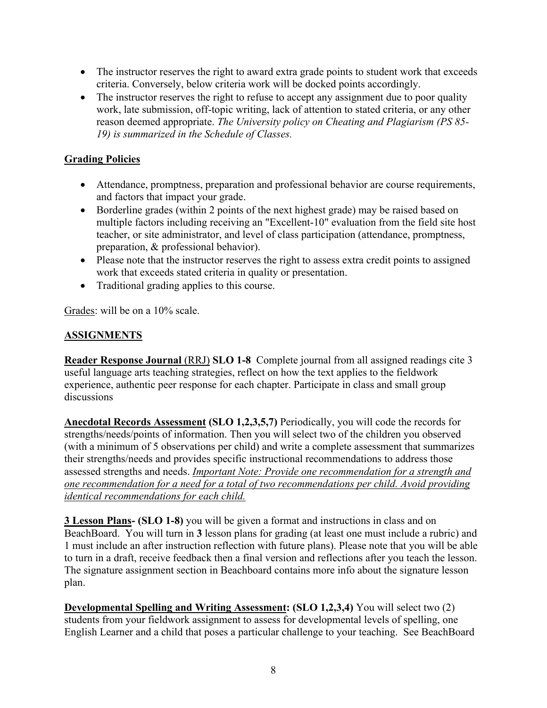- The instructor reserves the right to award extra grade points to student work that exceeds criteria. Conversely, below criteria work will be docked points accordingly.
- The instructor reserves the right to refuse to accept any assignment due to poor quality work, late submission, off-topic writing, lack of attention to stated criteria, or any other reason deemed appropriate. *The University policy on Cheating and Plagiarism (PS 85- 19) is summarized in the Schedule of Classes.*

## **Grading Policies**

- Attendance, promptness, preparation and professional behavior are course requirements, and factors that impact your grade.
- Borderline grades (within 2 points of the next highest grade) may be raised based on multiple factors including receiving an "Excellent-10" evaluation from the field site host teacher, or site administrator, and level of class participation (attendance, promptness, preparation, & professional behavior).
- Please note that the instructor reserves the right to assess extra credit points to assigned work that exceeds stated criteria in quality or presentation.
- Traditional grading applies to this course.

Grades: will be on a 10% scale.

## **ASSIGNMENTS**

**Reader Response Journal** (RRJ) **SLO 1-8** Complete journal from all assigned readings cite 3 useful language arts teaching strategies, reflect on how the text applies to the fieldwork experience, authentic peer response for each chapter. Participate in class and small group discussions

**Anecdotal Records Assessment (SLO 1,2,3,5,7)** Periodically, you will code the records for strengths/needs/points of information. Then you will select two of the children you observed (with a minimum of 5 observations per child) and write a complete assessment that summarizes their strengths/needs and provides specific instructional recommendations to address those assessed strengths and needs. *Important Note: Provide one recommendation for a strength and one recommendation for a need for a total of two recommendations per child. Avoid providing identical recommendations for each child.*

**3 Lesson Plans- (SLO 1-8)** you will be given a format and instructions in class and on BeachBoard. You will turn in **3** lesson plans for grading (at least one must include a rubric) and 1 must include an after instruction reflection with future plans). Please note that you will be able to turn in a draft, receive feedback then a final version and reflections after you teach the lesson. The signature assignment section in Beachboard contains more info about the signature lesson plan.

**Developmental Spelling and Writing Assessment: (SLO 1,2,3,4)** You will select two (2) students from your fieldwork assignment to assess for developmental levels of spelling, one English Learner and a child that poses a particular challenge to your teaching. See BeachBoard